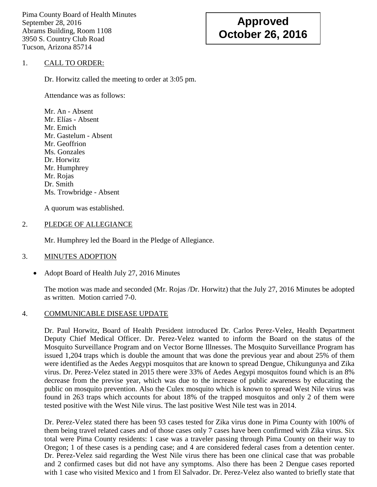Pima County Board of Health Minutes September 28, 2016 Abrams Building, Room 1108 3950 S. Country Club Road Tucson, Arizona 85714

# **Approved October 26, 2016**

#### 1. CALL TO ORDER:

Dr. Horwitz called the meeting to order at 3:05 pm.

Attendance was as follows:

Mr. An - Absent Mr. Elías - Absent Mr. Emich Mr. Gastelum - Absent Mr. Geoffrion Ms. Gonzales Dr. Horwitz Mr. Humphrey Mr. Rojas Dr. Smith Ms. Trowbridge - Absent

A quorum was established.

#### 2. PLEDGE OF ALLEGIANCE

Mr. Humphrey led the Board in the Pledge of Allegiance.

# 3. MINUTES ADOPTION

• Adopt Board of Health July 27, 2016 Minutes

The motion was made and seconded (Mr. Rojas /Dr. Horwitz) that the July 27, 2016 Minutes be adopted as written. Motion carried 7-0.

# 4. COMMUNICABLE DISEASE UPDATE

Dr. Paul Horwitz, Board of Health President introduced Dr. Carlos Perez-Velez, Health Department Deputy Chief Medical Officer. Dr. Perez-Velez wanted to inform the Board on the status of the Mosquito Surveillance Program and on Vector Borne Illnesses. The Mosquito Surveillance Program has issued 1,204 traps which is double the amount that was done the previous year and about 25% of them were identified as the Aedes Aegypi mosquitos that are known to spread Dengue, Chikungunya and Zika virus. Dr. Perez-Velez stated in 2015 there were 33% of Aedes Aegypi mosquitos found which is an 8% decrease from the previse year, which was due to the increase of public awareness by educating the public on mosquito prevention. Also the Culex mosquito which is known to spread West Nile virus was found in 263 traps which accounts for about 18% of the trapped mosquitos and only 2 of them were tested positive with the West Nile virus. The last positive West Nile test was in 2014.

Dr. Perez-Velez stated there has been 93 cases tested for Zika virus done in Pima County with 100% of them being travel related cases and of those cases only 7 cases have been confirmed with Zika virus. Six total were Pima County residents: 1 case was a traveler passing through Pima County on their way to Oregon; 1 of these cases is a pending case; and 4 are considered federal cases from a detention center. Dr. Perez-Velez said regarding the West Nile virus there has been one clinical case that was probable and 2 confirmed cases but did not have any symptoms. Also there has been 2 Dengue cases reported with 1 case who visited Mexico and 1 from El Salvador. Dr. Perez-Velez also wanted to briefly state that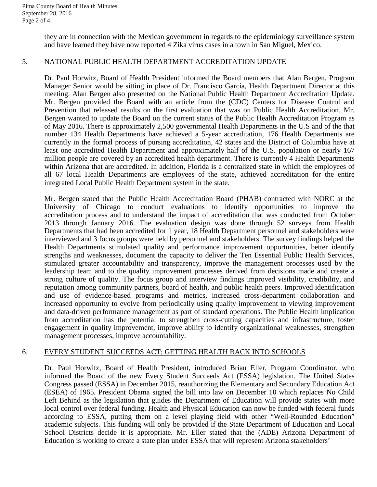they are in connection with the Mexican government in regards to the epidemiology surveillance system and have learned they have now reported 4 Zika virus cases in a town in San Miguel, Mexico.

#### 5. NATIONAL PUBLIC HEALTH DEPARTMENT ACCREDITATION UPDATE

Dr. Paul Horwitz, Board of Health President informed the Board members that Alan Bergen, Program Manager Senior would be sitting in place of Dr. Francisco García, Health Department Director at this meeting. Alan Bergen also presented on the National Public Health Department Accreditation Update. Mr. Bergen provided the Board with an article from the (CDC) Centers for Disease Control and Prevention that released results on the first evaluation that was on Public Health Accreditation. Mr. Bergen wanted to update the Board on the current status of the Public Health Accreditation Program as of May 2016. There is approximately 2,500 governmental Health Departments in the U.S and of the that number 134 Health Departments have achieved a 5-year accreditation, 176 Health Departments are currently in the formal process of pursing accreditation, 42 states and the District of Columbia have at least one accredited Health Department and approximately half of the U.S. population or nearly 167 million people are covered by an accredited health department. There is currently 4 Health Departments within Arizona that are accredited. In addition, Florida is a centralized state in which the employees of all 67 local Health Departments are employees of the state, achieved accreditation for the entire integrated Local Public Health Department system in the state.

Mr. Bergen stated that the Public Health Accreditation Board (PHAB) contracted with NORC at the University of Chicago to conduct evaluations to identify opportunities to improve the accreditation process and to understand the impact of accreditation that was conducted from October 2013 through January 2016. The evaluation design was done through 52 surveys from Health Departments that had been accredited for 1 year, 18 Health Department personnel and stakeholders were interviewed and 3 focus groups were held by personnel and stakeholders. The survey findings helped the Health Departments stimulated quality and performance improvement opportunities, better identify strengths and weaknesses, document the capacity to deliver the Ten Essential Public Health Services, stimulated greater accountability and transparency, improve the management processes used by the leadership team and to the quality improvement processes derived from decisions made and create a strong culture of quality. The focus group and interview findings improved visibility, credibility, and reputation among community partners, board of health, and public health peers. Improved identification and use of evidence-based programs and metrics, increased cross-department collaboration and increased opportunity to evolve from periodically using quality improvement to viewing improvement and data-driven performance management as part of standard operations. The Public Health implication from accreditation has the potential to strengthen cross-cutting capacities and infrastructure, foster engagement in quality improvement, improve ability to identify organizational weaknesses, strengthen management processes, improve accountability.

# 6. EVERY STUDENT SUCCEEDS ACT; GETTING HEALTH BACK INTO SCHOOLS

Dr. Paul Horwitz, Board of Health President, introduced Brian Eller, Program Coordinator, who informed the Board of the new Every Student Succeeds Act (ESSA) legislation. The United States Congress passed (ESSA) in December 2015, reauthorizing the Elementary and Secondary Education Act (ESEA) of 1965. President Obama signed the bill into law on December 10 which replaces No Child Left Behind as the legislation that guides the Department of Education will provide states with more local control over federal funding. Health and Physical Education can now be funded with federal funds according to ESSA, putting them on a level playing field with other "Well-Rounded Education" academic subjects. This funding will only be provided if the State Department of Education and Local School Districts decide it is appropriate. Mr. Eller stated that the (ADE) Arizona Department of Education is working to create a state plan under ESSA that will represent Arizona stakeholders'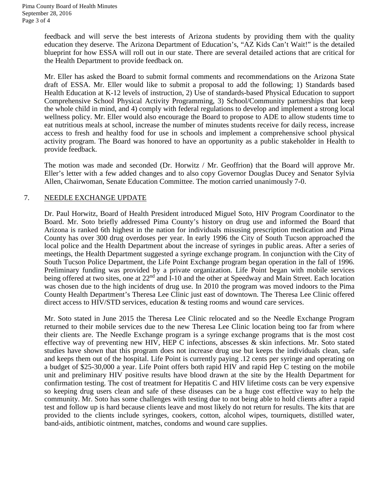feedback and will serve the best interests of Arizona students by providing them with the quality education they deserve. The Arizona Department of Education's, "AZ Kids Can't Wait!" is the detailed blueprint for how ESSA will roll out in our state. There are several detailed actions that are critical for the Health Department to provide feedback on.

Mr. Eller has asked the Board to submit formal comments and recommendations on the Arizona State draft of ESSA. Mr. Eller would like to submit a proposal to add the following; 1) Standards based Health Education at K-12 levels of instruction, 2) Use of standards-based Physical Education to support Comprehensive School Physical Activity Programming, 3) School/Community partnerships that keep the whole child in mind, and 4) comply with federal regulations to develop and implement a strong local wellness policy. Mr. Eller would also encourage the Board to propose to ADE to allow students time to eat nutritious meals at school, increase the number of minutes students receive for daily recess, increase access to fresh and healthy food for use in schools and implement a comprehensive school physical activity program. The Board was honored to have an opportunity as a public stakeholder in Health to provide feedback.

The motion was made and seconded (Dr. Horwitz / Mr. Geoffrion) that the Board will approve Mr. Eller's letter with a few added changes and to also copy Governor Douglas Ducey and Senator Sylvia Allen, Chairwoman, Senate Education Committee. The motion carried unanimously 7-0.

#### 7. NEEDLE EXCHANGE UPDATE

Dr. Paul Horwitz, Board of Health President introduced Miguel Soto, HIV Program Coordinator to the Board. Mr. Soto briefly addressed Pima County's history on drug use and informed the Board that Arizona is ranked 6th highest in the nation for individuals misusing prescription medication and Pima County has over 300 drug overdoses per year. In early 1996 the City of South Tucson approached the local police and the Health Department about the increase of syringes in public areas. After a series of meetings, the Health Department suggested a syringe exchange program. In conjunction with the City of South Tucson Police Department, the Life Point Exchange program began operation in the fall of 1996. Preliminary funding was provided by a private organization. Life Point began with mobile services being offered at two sites, one at 22<sup>nd</sup> and I-10 and the other at Speedway and Main Street. Each location was chosen due to the high incidents of drug use. In 2010 the program was moved indoors to the Pima County Health Department's Theresa Lee Clinic just east of downtown. The Theresa Lee Clinic offered direct access to HIV/STD services, education & testing rooms and wound care services.

Mr. Soto stated in June 2015 the Theresa Lee Clinic relocated and so the Needle Exchange Program returned to their mobile services due to the new Theresa Lee Clinic location being too far from where their clients are. The Needle Exchange program is a syringe exchange programs that is the most cost effective way of preventing new HIV, HEP C infections, abscesses & skin infections. Mr. Soto stated studies have shown that this program does not increase drug use but keeps the individuals clean, safe and keeps them out of the hospital. Life Point is currently paying .12 cents per syringe and operating on a budget of \$25-30,000 a year. Life Point offers both rapid HIV and rapid Hep C testing on the mobile unit and preliminary HIV positive results have blood drawn at the site by the Health Department for confirmation testing. The cost of treatment for Hepatitis C and HIV lifetime costs can be very expensive so keeping drug users clean and safe of these diseases can be a huge cost effective way to help the community. Mr. Soto has some challenges with testing due to not being able to hold clients after a rapid test and follow up is hard because clients leave and most likely do not return for results. The kits that are provided to the clients include syringes, cookers, cotton, alcohol wipes, tourniquets, distilled water, band-aids, antibiotic ointment, matches, condoms and wound care supplies.